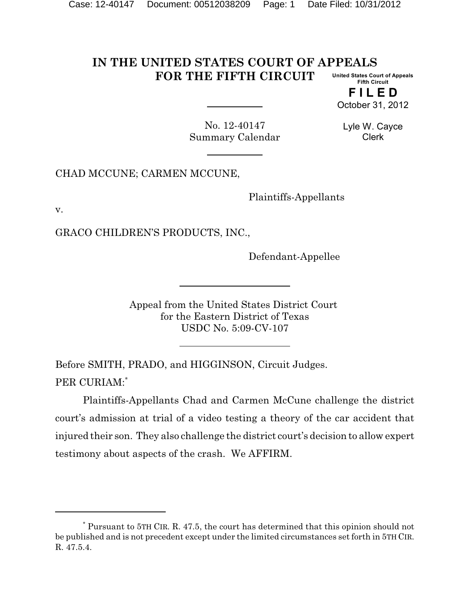#### **IN THE UNITED STATES COURT OF APPEALS FOR THE FIFTH CIRCUIT United States Court of Appeals Fifth Circuit**

**F I L E D** October 31, 2012

No. 12-40147 Summary Calendar

Lyle W. Cayce Clerk

CHAD MCCUNE; CARMEN MCCUNE,

Plaintiffs-Appellants

v.

GRACO CHILDREN'S PRODUCTS, INC.,

Defendant-Appellee

Appeal from the United States District Court for the Eastern District of Texas USDC No. 5:09-CV-107

Before SMITH, PRADO, and HIGGINSON, Circuit Judges. PER CURIAM:\*

Plaintiffs-Appellants Chad and Carmen McCune challenge the district court's admission at trial of a video testing a theory of the car accident that injured their son. They also challenge the district court's decision to allow expert testimony about aspects of the crash. We AFFIRM.

 $*$  Pursuant to 5TH CIR. R. 47.5, the court has determined that this opinion should not be published and is not precedent except under the limited circumstances set forth in 5TH CIR. R. 47.5.4.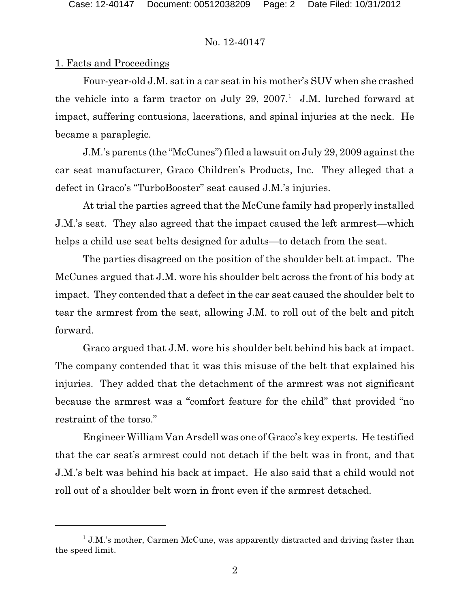# 1. Facts and Proceedings

Four-year-old J.M. sat in a car seat in his mother's SUV when she crashed the vehicle into a farm tractor on July 29, 2007.<sup>1</sup> J.M. lurched forward at impact, suffering contusions, lacerations, and spinal injuries at the neck. He became a paraplegic.

J.M.'s parents (the "McCunes") filed a lawsuit on July 29, 2009 against the car seat manufacturer, Graco Children's Products, Inc. They alleged that a defect in Graco's "TurboBooster" seat caused J.M.'s injuries.

At trial the parties agreed that the McCune family had properly installed J.M.'s seat. They also agreed that the impact caused the left armrest—which helps a child use seat belts designed for adults—to detach from the seat.

The parties disagreed on the position of the shoulder belt at impact. The McCunes argued that J.M. wore his shoulder belt across the front of his body at impact. They contended that a defect in the car seat caused the shoulder belt to tear the armrest from the seat, allowing J.M. to roll out of the belt and pitch forward.

Graco argued that J.M. wore his shoulder belt behind his back at impact. The company contended that it was this misuse of the belt that explained his injuries. They added that the detachment of the armrest was not significant because the armrest was a "comfort feature for the child" that provided "no restraint of the torso."

Engineer William Van Arsdell was one of Graco's key experts. He testified that the car seat's armrest could not detach if the belt was in front, and that J.M.'s belt was behind his back at impact. He also said that a child would not roll out of a shoulder belt worn in front even if the armrest detached.

 $1$  J.M.'s mother, Carmen McCune, was apparently distracted and driving faster than the speed limit.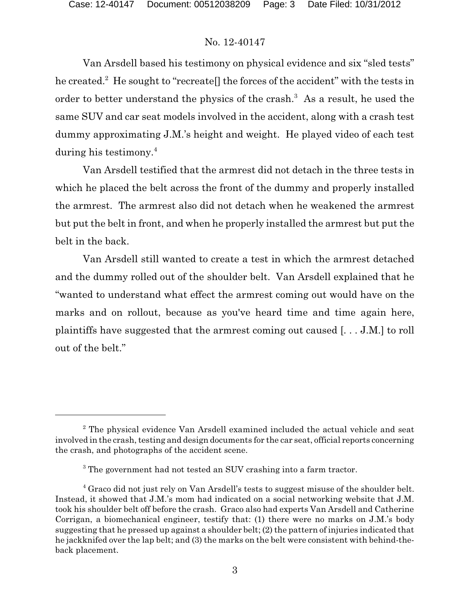Van Arsdell based his testimony on physical evidence and six "sled tests" he created.<sup>2</sup> He sought to "recreate" the forces of the accident" with the tests in order to better understand the physics of the crash.<sup>3</sup> As a result, he used the same SUV and car seat models involved in the accident, along with a crash test dummy approximating J.M.'s height and weight. He played video of each test during his testimony.<sup>4</sup>

Van Arsdell testified that the armrest did not detach in the three tests in which he placed the belt across the front of the dummy and properly installed the armrest. The armrest also did not detach when he weakened the armrest but put the belt in front, and when he properly installed the armrest but put the belt in the back.

Van Arsdell still wanted to create a test in which the armrest detached and the dummy rolled out of the shoulder belt. Van Arsdell explained that he "wanted to understand what effect the armrest coming out would have on the marks and on rollout, because as you've heard time and time again here, plaintiffs have suggested that the armrest coming out caused [. . . J.M.] to roll out of the belt."

 $2$  The physical evidence Van Arsdell examined included the actual vehicle and seat involved in the crash, testing and design documents for the car seat, official reports concerning the crash, and photographs of the accident scene.

 $3$  The government had not tested an SUV crashing into a farm tractor.

<sup>&</sup>lt;sup>4</sup> Graco did not just rely on Van Arsdell's tests to suggest misuse of the shoulder belt. Instead, it showed that J.M.'s mom had indicated on a social networking website that J.M. took his shoulder belt off before the crash. Graco also had experts Van Arsdell and Catherine Corrigan, a biomechanical engineer, testify that: (1) there were no marks on J.M.'s body suggesting that he pressed up against a shoulder belt; (2) the pattern of injuries indicated that he jackknifed over the lap belt; and (3) the marks on the belt were consistent with behind-theback placement.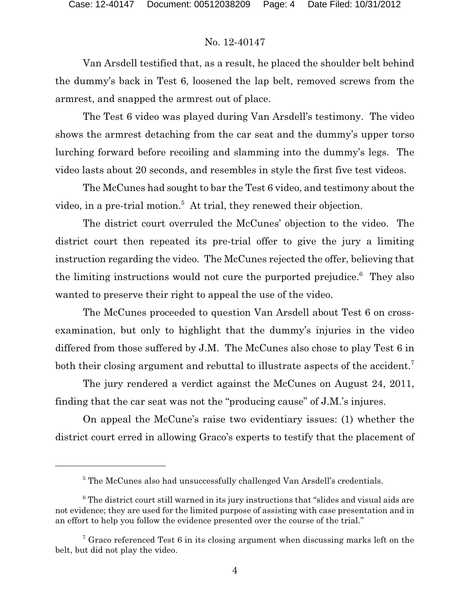Van Arsdell testified that, as a result, he placed the shoulder belt behind the dummy's back in Test 6, loosened the lap belt, removed screws from the armrest, and snapped the armrest out of place.

The Test 6 video was played during Van Arsdell's testimony. The video shows the armrest detaching from the car seat and the dummy's upper torso lurching forward before recoiling and slamming into the dummy's legs. The video lasts about 20 seconds, and resembles in style the first five test videos.

The McCunes had sought to bar the Test 6 video, and testimony about the video, in a pre-trial motion.<sup>5</sup> At trial, they renewed their objection.

The district court overruled the McCunes' objection to the video. The district court then repeated its pre-trial offer to give the jury a limiting instruction regarding the video. The McCunes rejected the offer, believing that the limiting instructions would not cure the purported prejudice. $6$  They also wanted to preserve their right to appeal the use of the video.

The McCunes proceeded to question Van Arsdell about Test 6 on crossexamination, but only to highlight that the dummy's injuries in the video differed from those suffered by J.M. The McCunes also chose to play Test 6 in both their closing argument and rebuttal to illustrate aspects of the accident.<sup>7</sup>

The jury rendered a verdict against the McCunes on August 24, 2011, finding that the car seat was not the "producing cause" of J.M.'s injures.

On appeal the McCune's raise two evidentiary issues: (1) whether the district court erred in allowing Graco's experts to testify that the placement of

<sup>&</sup>lt;sup>5</sup> The McCunes also had unsuccessfully challenged Van Arsdell's credentials.

 $6$  The district court still warned in its jury instructions that "slides and visual aids are not evidence; they are used for the limited purpose of assisting with case presentation and in an effort to help you follow the evidence presented over the course of the trial."

<sup>&</sup>lt;sup>7</sup> Graco referenced Test 6 in its closing argument when discussing marks left on the belt, but did not play the video.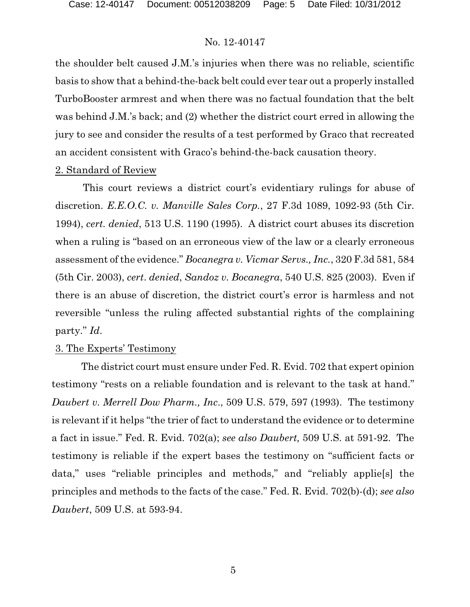the shoulder belt caused J.M.'s injuries when there was no reliable, scientific basis to show that a behind-the-back belt could ever tear out a properly installed TurboBooster armrest and when there was no factual foundation that the belt was behind J.M.'s back; and (2) whether the district court erred in allowing the jury to see and consider the results of a test performed by Graco that recreated an accident consistent with Graco's behind-the-back causation theory.

#### 2. Standard of Review

This court reviews a district court's evidentiary rulings for abuse of discretion. *E.E.O.C. v. Manville Sales Corp.*, 27 F.3d 1089, 1092-93 (5th Cir. 1994), *cert. denied*, 513 U.S. 1190 (1995). A district court abuses its discretion when a ruling is "based on an erroneous view of the law or a clearly erroneous assessment of the evidence." *Bocanegra v. Vicmar Servs., Inc.*, 320 F.3d 581, 584 (5th Cir. 2003), *cert*. *denied*, *Sandoz v. Bocanegra*, 540 U.S. 825 (2003). Even if there is an abuse of discretion, the district court's error is harmless and not reversible "unless the ruling affected substantial rights of the complaining party." *Id*.

### 3. The Experts' Testimony

The district court must ensure under Fed. R. Evid. 702 that expert opinion testimony "rests on a reliable foundation and is relevant to the task at hand." *Daubert v. Merrell Dow Pharm., Inc*., 509 U.S. 579, 597 (1993). The testimony is relevant if it helps "the trier of fact to understand the evidence or to determine a fact in issue." Fed. R. Evid. 702(a); *see also Daubert,* 509 U.S. at 591-92. The testimony is reliable if the expert bases the testimony on "sufficient facts or data," uses "reliable principles and methods," and "reliably applie[s] the principles and methods to the facts of the case." Fed. R. Evid. 702(b)-(d); *see also Daubert*, 509 U.S. at 593-94.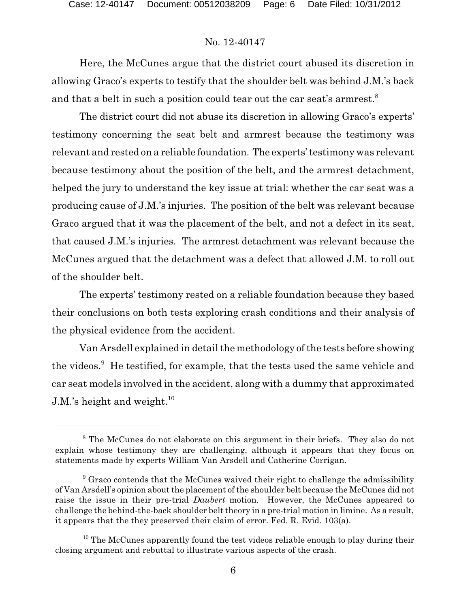Here, the McCunes argue that the district court abused its discretion in allowing Graco's experts to testify that the shoulder belt was behind J.M.'s back and that a belt in such a position could tear out the car seat's armrest.<sup>8</sup>

The district court did not abuse its discretion in allowing Graco's experts' testimony concerning the seat belt and armrest because the testimony was relevant and rested on a reliable foundation. The experts' testimony was relevant because testimony about the position of the belt, and the armrest detachment, helped the jury to understand the key issue at trial: whether the car seat was a producing cause of J.M.'s injuries. The position of the belt was relevant because Graco argued that it was the placement of the belt, and not a defect in its seat, that caused J.M.'s injuries. The armrest detachment was relevant because the McCunes argued that the detachment was a defect that allowed J.M. to roll out of the shoulder belt.

The experts' testimony rested on a reliable foundation because they based their conclusions on both tests exploring crash conditions and their analysis of the physical evidence from the accident.

Van Arsdell explained in detail the methodology of the tests before showing the videos.<sup>9</sup> He testified, for example, that the tests used the same vehicle and car seat models involved in the accident, along with a dummy that approximated J.M.'s height and weight.<sup>10</sup>

<sup>&</sup>lt;sup>8</sup> The McCunes do not elaborate on this argument in their briefs. They also do not explain whose testimony they are challenging, although it appears that they focus on statements made by experts William Van Arsdell and Catherine Corrigan.

 $9$  Graco contends that the McCunes waived their right to challenge the admissibility of Van Arsdell's opinion about the placement of the shoulder belt because the McCunes did not raise the issue in their pre-trial *Daubert* motion. However, the McCunes appeared to challenge the behind-the-back shoulder belt theory in a pre-trial motion in limine. As a result, it appears that the they preserved their claim of error. Fed. R. Evid. 103(a).

 $10$  The McCunes apparently found the test videos reliable enough to play during their closing argument and rebuttal to illustrate various aspects of the crash.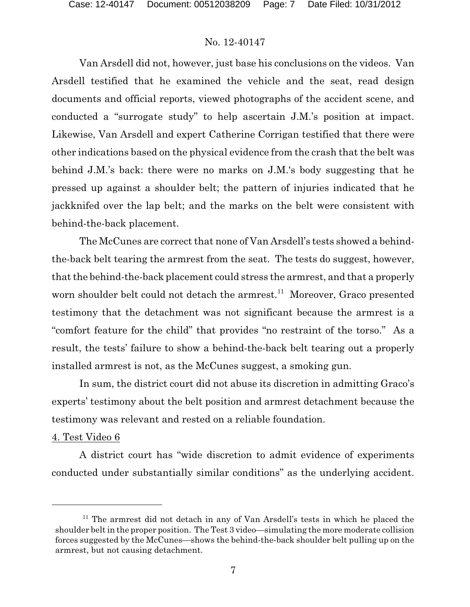Van Arsdell did not, however, just base his conclusions on the videos. Van Arsdell testified that he examined the vehicle and the seat, read design documents and official reports, viewed photographs of the accident scene, and conducted a "surrogate study" to help ascertain J.M.'s position at impact. Likewise, Van Arsdell and expert Catherine Corrigan testified that there were other indications based on the physical evidence from the crash that the belt was behind J.M.'s back: there were no marks on J.M.'s body suggesting that he pressed up against a shoulder belt; the pattern of injuries indicated that he jackknifed over the lap belt; and the marks on the belt were consistent with behind-the-back placement.

The McCunes are correct that none of Van Arsdell's tests showed a behindthe-back belt tearing the armrest from the seat. The tests do suggest, however, that the behind-the-back placement could stress the armrest, and that a properly worn shoulder belt could not detach the armrest.<sup>11</sup> Moreover, Graco presented testimony that the detachment was not significant because the armrest is a "comfort feature for the child" that provides "no restraint of the torso." As a result, the tests' failure to show a behind-the-back belt tearing out a properly installed armrest is not, as the McCunes suggest, a smoking gun.

In sum, the district court did not abuse its discretion in admitting Graco's experts' testimony about the belt position and armrest detachment because the testimony was relevant and rested on a reliable foundation.

#### 4. Test Video 6

A district court has "wide discretion to admit evidence of experiments conducted under substantially similar conditions" as the underlying accident.

 $11$  The armrest did not detach in any of Van Arsdell's tests in which he placed the shoulder belt in the proper position. The Test 3 video—simulating the more moderate collision forces suggested by the McCunes—shows the behind-the-back shoulder belt pulling up on the armrest, but not causing detachment.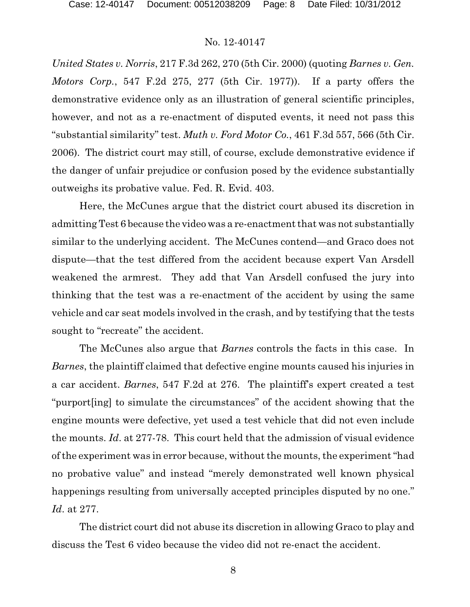*United States v. Norris*, 217 F.3d 262, 270 (5th Cir. 2000) (quoting *Barnes v. Gen. Motors Corp.*, 547 F.2d 275, 277 (5th Cir. 1977)). If a party offers the demonstrative evidence only as an illustration of general scientific principles, however, and not as a re-enactment of disputed events, it need not pass this "substantial similarity" test. *Muth v. Ford Motor Co.*, 461 F.3d 557, 566 (5th Cir. 2006). The district court may still, of course, exclude demonstrative evidence if the danger of unfair prejudice or confusion posed by the evidence substantially outweighs its probative value. Fed. R. Evid. 403.

Here, the McCunes argue that the district court abused its discretion in admitting Test 6 because the video was a re-enactment that was not substantially similar to the underlying accident. The McCunes contend—and Graco does not dispute—that the test differed from the accident because expert Van Arsdell weakened the armrest. They add that Van Arsdell confused the jury into thinking that the test was a re-enactment of the accident by using the same vehicle and car seat models involved in the crash, and by testifying that the tests sought to "recreate" the accident.

The McCunes also argue that *Barnes* controls the facts in this case. In *Barnes*, the plaintiff claimed that defective engine mounts caused his injuries in a car accident. *Barnes*, 547 F.2d at 276. The plaintiff's expert created a test "purport[ing] to simulate the circumstances" of the accident showing that the engine mounts were defective, yet used a test vehicle that did not even include the mounts. *Id*. at 277-78. This court held that the admission of visual evidence of the experiment was in error because, without the mounts, the experiment "had no probative value" and instead "merely demonstrated well known physical happenings resulting from universally accepted principles disputed by no one." *Id*. at 277.

The district court did not abuse its discretion in allowing Graco to play and discuss the Test 6 video because the video did not re-enact the accident.